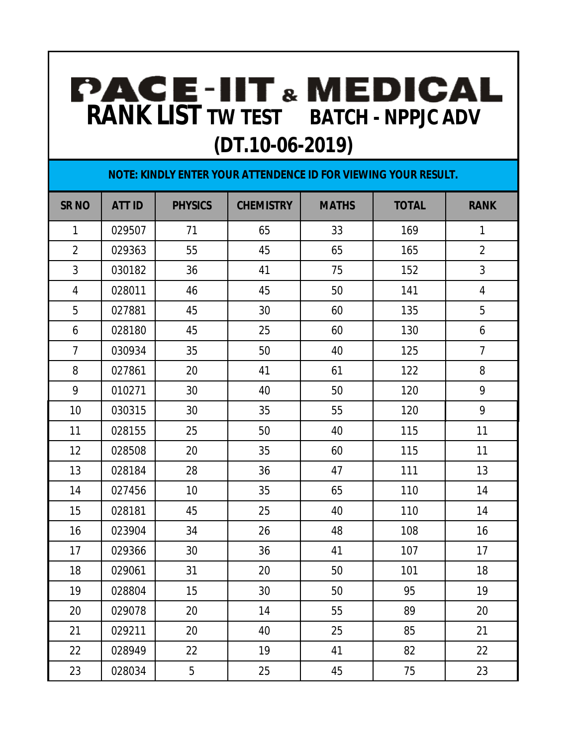## **RANK LIST TW TEST BATCH - NPPJC ADV RANK LIST TW TEST BATCH - NPPJC ADV (DT.10-06-2019)**

| NOTE: KINDLY ENTER YOUR ATTENDENCE ID FOR VIEWING YOUR RESULT. |               |                |                  |              |              |                |  |  |  |  |
|----------------------------------------------------------------|---------------|----------------|------------------|--------------|--------------|----------------|--|--|--|--|
| <b>SR NO</b>                                                   | <b>ATT ID</b> | <b>PHYSICS</b> | <b>CHEMISTRY</b> | <b>MATHS</b> | <b>TOTAL</b> | <b>RANK</b>    |  |  |  |  |
| $\mathbf{1}$                                                   | 029507        | 71             | 65               | 33           | 169          | $\mathbf{1}$   |  |  |  |  |
| $\overline{2}$                                                 | 029363        | 55             | 45               | 65           | 165          | $\overline{2}$ |  |  |  |  |
| 3                                                              | 030182        | 36             | 41               | 75           | 152          | $\mathfrak{Z}$ |  |  |  |  |
| 4                                                              | 028011        | 46             | 45               | 50           | 141          | $\overline{4}$ |  |  |  |  |
| 5                                                              | 027881        | 45             | 30               | 60           | 135          | 5              |  |  |  |  |
| 6                                                              | 028180        | 45             | 25               | 60           | 130          | 6              |  |  |  |  |
| $\overline{7}$                                                 | 030934        | 35             | 50               | 40           | 125          | $\overline{7}$ |  |  |  |  |
| 8                                                              | 027861        | 20             | 41               | 61           | 122          | 8              |  |  |  |  |
| 9                                                              | 010271        | 30             | 40               | 50           | 120          | 9              |  |  |  |  |
| 10                                                             | 030315        | 30             | 35               | 55           | 120          | 9              |  |  |  |  |
| 11                                                             | 028155        | 25             | 50               | 40           | 115          | 11             |  |  |  |  |
| 12                                                             | 028508        | 20             | 35               | 60           | 115          | 11             |  |  |  |  |
| 13                                                             | 028184        | 28             | 36               | 47           | 111          | 13             |  |  |  |  |
| 14                                                             | 027456        | 10             | 35               | 65           | 110          | 14             |  |  |  |  |
| 15                                                             | 028181        | 45             | 25               | 40           | 110          | 14             |  |  |  |  |
| 16                                                             | 023904        | 34             | 26               | 48           | 108          | 16             |  |  |  |  |
| 17                                                             | 029366        | 30             | 36               | 41           | 107          | 17             |  |  |  |  |
| 18                                                             | 029061        | 31             | 20               | 50           | 101          | 18             |  |  |  |  |
| 19                                                             | 028804        | $15\,$         | 30               | 50           | 95           | 19             |  |  |  |  |
| 20                                                             | 029078        | 20             | 14               | 55           | 89           | 20             |  |  |  |  |
| 21                                                             | 029211        | 20             | 40               | 25           | 85           | 21             |  |  |  |  |
| 22                                                             | 028949        | 22             | 19               | 41           | 82           | 22             |  |  |  |  |
| 23                                                             | 028034        | 5              | 25               | 45           | 75           | 23             |  |  |  |  |